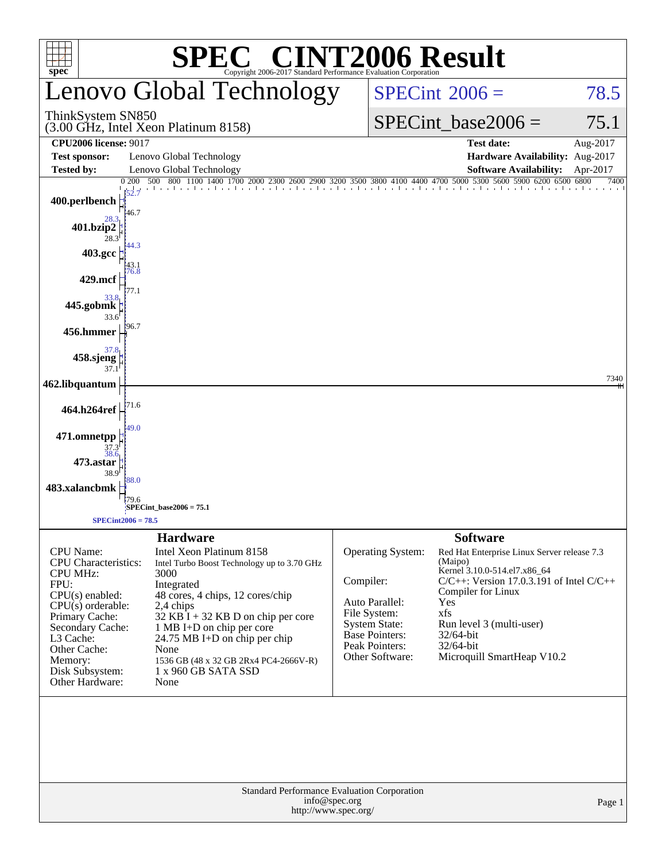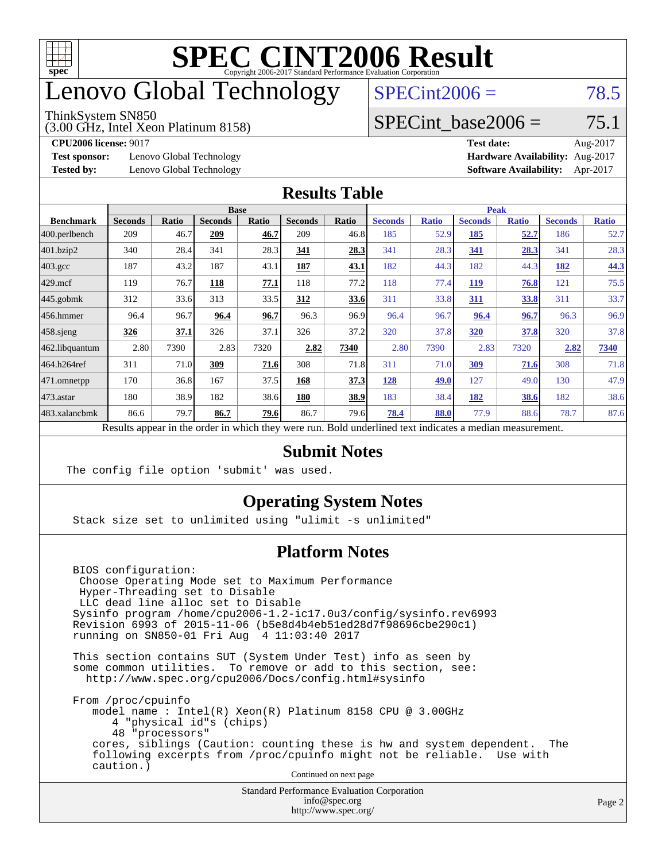

## enovo Global Technology

#### ThinkSystem SN850

(3.00 GHz, Intel Xeon Platinum 8158)

 $SPECint2006 = 78.5$  $SPECint2006 = 78.5$ 

#### SPECint base2006 =  $75.1$

**[Test sponsor:](http://www.spec.org/auto/cpu2006/Docs/result-fields.html#Testsponsor)** Lenovo Global Technology **[Hardware Availability:](http://www.spec.org/auto/cpu2006/Docs/result-fields.html#HardwareAvailability)** Aug-2017

**[CPU2006 license:](http://www.spec.org/auto/cpu2006/Docs/result-fields.html#CPU2006license)** 9017 **[Test date:](http://www.spec.org/auto/cpu2006/Docs/result-fields.html#Testdate)** Aug-2017 **[Tested by:](http://www.spec.org/auto/cpu2006/Docs/result-fields.html#Testedby)** Lenovo Global Technology **[Software Availability:](http://www.spec.org/auto/cpu2006/Docs/result-fields.html#SoftwareAvailability)** Apr-2017

#### **[Results Table](http://www.spec.org/auto/cpu2006/Docs/result-fields.html#ResultsTable)**

|                                                                                                          | <b>Base</b>    |              |                |              | <b>Peak</b>    |       |                |              |                |              |                |              |
|----------------------------------------------------------------------------------------------------------|----------------|--------------|----------------|--------------|----------------|-------|----------------|--------------|----------------|--------------|----------------|--------------|
| <b>Benchmark</b>                                                                                         | <b>Seconds</b> | <b>Ratio</b> | <b>Seconds</b> | <b>Ratio</b> | <b>Seconds</b> | Ratio | <b>Seconds</b> | <b>Ratio</b> | <b>Seconds</b> | <b>Ratio</b> | <b>Seconds</b> | <b>Ratio</b> |
| $ 400$ .perlbench                                                                                        | 209            | 46.7         | 209            | 46.7         | 209            | 46.8  | 185            | 52.9         | 185            | 52.7         | 186            | 52.7         |
| $401$ .bzip2                                                                                             | 340            | 28.4         | 341            | 28.3         | 341            | 28.3  | 341            | 28.3         | 341            | 28.3         | 341            | 28.3         |
| $403.\text{gcc}$                                                                                         | 187            | 43.2         | 187            | 43.1         | 187            | 43.1  | 182            | 44.3         | 182            | 44.3         | 182            | 44.3         |
| $429$ mcf                                                                                                | 119            | 76.7         | 118            | 77.1         | 118            | 77.2  | 118            | 77.4         | <b>119</b>     | 76.8         | 121            | 75.5         |
| $445$ .gobmk                                                                                             | 312            | 33.6         | 313            | 33.5         | 312            | 33.6  | 311            | 33.8         | 311            | 33.8         | 311            | 33.7         |
| $456.$ hmmer                                                                                             | 96.4           | 96.7         | 96.4           | 96.7         | 96.3           | 96.9  | 96.4           | 96.7         | 96.4           | 96.7         | 96.3           | 96.9         |
| $458$ .sjeng                                                                                             | 326            | 37.1         | 326            | 37.1         | 326            | 37.2  | 320            | 37.8         | <b>320</b>     | 37.8         | 320            | 37.8         |
| 462.libquantum                                                                                           | 2.80           | 7390         | 2.83           | 7320         | 2.82           | 7340  | 2.80           | 7390         | 2.83           | 7320         | 2.82           | 7340         |
| 464.h264ref                                                                                              | 311            | 71.0         | 309            | 71.6         | 308            | 71.8  | 311            | 71.0         | 309            | 71.6         | 308            | 71.8         |
| 471.omnetpp                                                                                              | 170            | 36.8         | 167            | 37.5         | 168            | 37.3  | 128            | 49.0         | 127            | 49.0         | 130            | 47.9         |
| $473$ . astar                                                                                            | 180            | 38.9         | 182            | 38.6         | 180            | 38.9  | 183            | 38.4         | 182            | 38.6         | 182            | 38.6         |
| 483.xalancbmk                                                                                            | 86.6           | 79.7         | 86.7           | 79.6         | 86.7           | 79.6  | 78.4           | 88.0         | 77.9           | 88.6         | 78.7           | 87.6         |
| Results appear in the order in which they were run. Bold underlined text indicates a median measurement. |                |              |                |              |                |       |                |              |                |              |                |              |

#### **[Submit Notes](http://www.spec.org/auto/cpu2006/Docs/result-fields.html#SubmitNotes)**

The config file option 'submit' was used.

#### **[Operating System Notes](http://www.spec.org/auto/cpu2006/Docs/result-fields.html#OperatingSystemNotes)**

Stack size set to unlimited using "ulimit -s unlimited"

#### **[Platform Notes](http://www.spec.org/auto/cpu2006/Docs/result-fields.html#PlatformNotes)**

 BIOS configuration: Choose Operating Mode set to Maximum Performance Hyper-Threading set to Disable LLC dead line alloc set to Disable Sysinfo program /home/cpu2006-1.2-ic17.0u3/config/sysinfo.rev6993 Revision 6993 of 2015-11-06 (b5e8d4b4eb51ed28d7f98696cbe290c1) running on SN850-01 Fri Aug 4 11:03:40 2017

 This section contains SUT (System Under Test) info as seen by some common utilities. To remove or add to this section, see: <http://www.spec.org/cpu2006/Docs/config.html#sysinfo>

 From /proc/cpuinfo model name : Intel(R) Xeon(R) Platinum 8158 CPU @ 3.00GHz 4 "physical id"s (chips) 48 "processors" cores, siblings (Caution: counting these is hw and system dependent. The following excerpts from /proc/cpuinfo might not be reliable. Use with caution.)

Continued on next page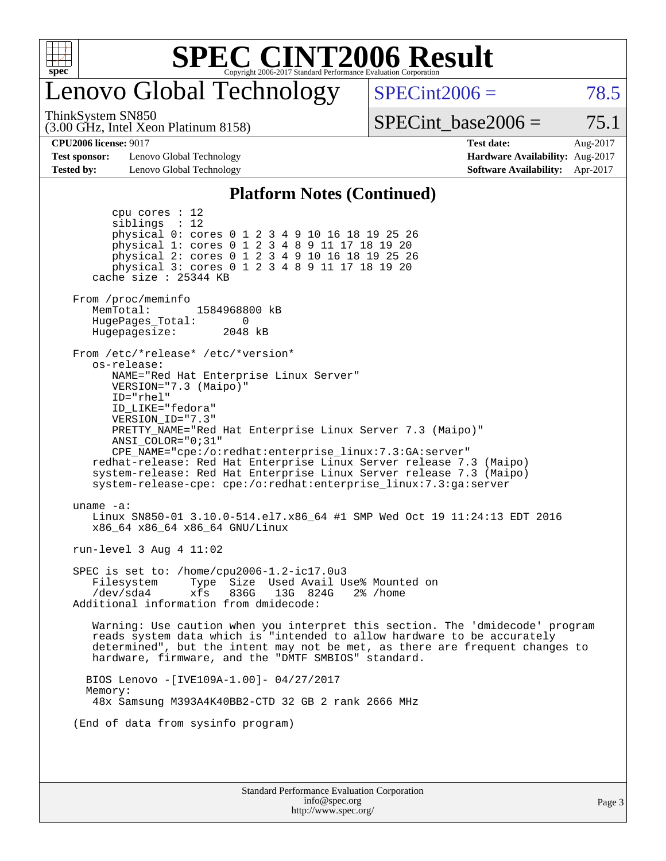

## enovo Global Technology

ThinkSystem SN850

(3.00 GHz, Intel Xeon Platinum 8158)

 $SPECint2006 = 78.5$  $SPECint2006 = 78.5$ 

SPECint base2006 =  $75.1$ 

**[Test sponsor:](http://www.spec.org/auto/cpu2006/Docs/result-fields.html#Testsponsor)** Lenovo Global Technology **[Hardware Availability:](http://www.spec.org/auto/cpu2006/Docs/result-fields.html#HardwareAvailability)** Aug-2017 **[Tested by:](http://www.spec.org/auto/cpu2006/Docs/result-fields.html#Testedby)** Lenovo Global Technology **[Software Availability:](http://www.spec.org/auto/cpu2006/Docs/result-fields.html#SoftwareAvailability)** Apr-2017

**[CPU2006 license:](http://www.spec.org/auto/cpu2006/Docs/result-fields.html#CPU2006license)** 9017 **[Test date:](http://www.spec.org/auto/cpu2006/Docs/result-fields.html#Testdate)** Aug-2017

#### **[Platform Notes \(Continued\)](http://www.spec.org/auto/cpu2006/Docs/result-fields.html#PlatformNotes)**

Standard Performance Evaluation Corporation [info@spec.org](mailto:info@spec.org) <http://www.spec.org/> Page 3 cpu cores : 12 siblings : 12 physical 0: cores 0 1 2 3 4 9 10 16 18 19 25 26 physical 1: cores 0 1 2 3 4 8 9 11 17 18 19 20 physical 2: cores 0 1 2 3 4 9 10 16 18 19 25 26 physical 3: cores 0 1 2 3 4 8 9 11 17 18 19 20 cache size : 25344 KB From /proc/meminfo MemTotal: 1584968800 kB<br>HugePages Total: 0 HugePages\_Total: 0 Hugepagesize: 2048 kB From /etc/\*release\* /etc/\*version\* os-release: NAME="Red Hat Enterprise Linux Server" VERSION="7.3 (Maipo)" ID="rhel" ID\_LIKE="fedora" VERSION\_ID="7.3" PRETTY\_NAME="Red Hat Enterprise Linux Server 7.3 (Maipo)" ANSI\_COLOR="0;31" CPE\_NAME="cpe:/o:redhat:enterprise\_linux:7.3:GA:server" redhat-release: Red Hat Enterprise Linux Server release 7.3 (Maipo) system-release: Red Hat Enterprise Linux Server release 7.3 (Maipo) system-release-cpe: cpe:/o:redhat:enterprise\_linux:7.3:ga:server uname -a: Linux SN850-01 3.10.0-514.el7.x86\_64 #1 SMP Wed Oct 19 11:24:13 EDT 2016 x86\_64 x86\_64 x86\_64 GNU/Linux run-level 3 Aug 4 11:02 SPEC is set to: /home/cpu2006-1.2-ic17.0u3 Filesystem Type Size Used Avail Use% Mounted on /dev/sda4 xfs 836G 13G 824G 2% /home Additional information from dmidecode: Warning: Use caution when you interpret this section. The 'dmidecode' program reads system data which is "intended to allow hardware to be accurately determined", but the intent may not be met, as there are frequent changes to hardware, firmware, and the "DMTF SMBIOS" standard. BIOS Lenovo -[IVE109A-1.00]- 04/27/2017 Memory: 48x Samsung M393A4K40BB2-CTD 32 GB 2 rank 2666 MHz (End of data from sysinfo program)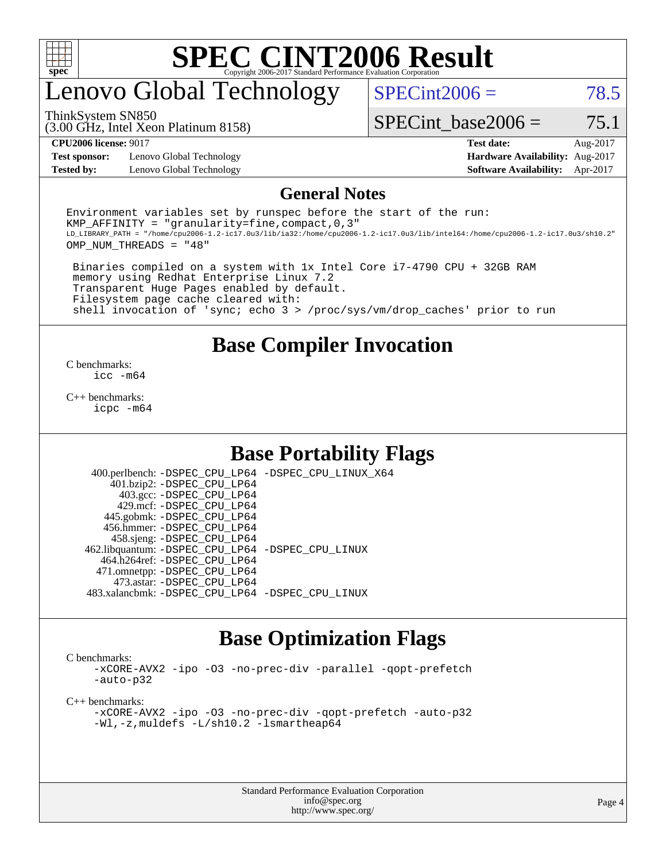

# enovo Global Technology

ThinkSystem SN850

 $SPECint2006 = 78.5$  $SPECint2006 = 78.5$ 

SPECint base2006 =  $75.1$ 

**[Test sponsor:](http://www.spec.org/auto/cpu2006/Docs/result-fields.html#Testsponsor)** Lenovo Global Technology **[Hardware Availability:](http://www.spec.org/auto/cpu2006/Docs/result-fields.html#HardwareAvailability)** Aug-2017

(3.00 GHz, Intel Xeon Platinum 8158)

**[CPU2006 license:](http://www.spec.org/auto/cpu2006/Docs/result-fields.html#CPU2006license)** 9017 **[Test date:](http://www.spec.org/auto/cpu2006/Docs/result-fields.html#Testdate)** Aug-2017 **[Tested by:](http://www.spec.org/auto/cpu2006/Docs/result-fields.html#Testedby)** Lenovo Global Technology **[Software Availability:](http://www.spec.org/auto/cpu2006/Docs/result-fields.html#SoftwareAvailability)** Apr-2017

#### **[General Notes](http://www.spec.org/auto/cpu2006/Docs/result-fields.html#GeneralNotes)**

Environment variables set by runspec before the start of the run: KMP AFFINITY = "granularity=fine, compact,  $0,3$ " LD\_LIBRARY\_PATH = "/home/cpu2006-1.2-ic17.0u3/lib/ia32:/home/cpu2006-1.2-ic17.0u3/lib/intel64:/home/cpu2006-1.2-ic17.0u3/sh10.2" OMP\_NUM\_THREADS = "48"

 Binaries compiled on a system with 1x Intel Core i7-4790 CPU + 32GB RAM memory using Redhat Enterprise Linux 7.2 Transparent Huge Pages enabled by default. Filesystem page cache cleared with: shell invocation of 'sync; echo 3 > /proc/sys/vm/drop\_caches' prior to run

#### **[Base Compiler Invocation](http://www.spec.org/auto/cpu2006/Docs/result-fields.html#BaseCompilerInvocation)**

[C benchmarks](http://www.spec.org/auto/cpu2006/Docs/result-fields.html#Cbenchmarks): [icc -m64](http://www.spec.org/cpu2006/results/res2017q4/cpu2006-20170918-50039.flags.html#user_CCbase_intel_icc_64bit_bda6cc9af1fdbb0edc3795bac97ada53)

[C++ benchmarks:](http://www.spec.org/auto/cpu2006/Docs/result-fields.html#CXXbenchmarks) [icpc -m64](http://www.spec.org/cpu2006/results/res2017q4/cpu2006-20170918-50039.flags.html#user_CXXbase_intel_icpc_64bit_fc66a5337ce925472a5c54ad6a0de310)

#### **[Base Portability Flags](http://www.spec.org/auto/cpu2006/Docs/result-fields.html#BasePortabilityFlags)**

 400.perlbench: [-DSPEC\\_CPU\\_LP64](http://www.spec.org/cpu2006/results/res2017q4/cpu2006-20170918-50039.flags.html#b400.perlbench_basePORTABILITY_DSPEC_CPU_LP64) [-DSPEC\\_CPU\\_LINUX\\_X64](http://www.spec.org/cpu2006/results/res2017q4/cpu2006-20170918-50039.flags.html#b400.perlbench_baseCPORTABILITY_DSPEC_CPU_LINUX_X64) 401.bzip2: [-DSPEC\\_CPU\\_LP64](http://www.spec.org/cpu2006/results/res2017q4/cpu2006-20170918-50039.flags.html#suite_basePORTABILITY401_bzip2_DSPEC_CPU_LP64) 403.gcc: [-DSPEC\\_CPU\\_LP64](http://www.spec.org/cpu2006/results/res2017q4/cpu2006-20170918-50039.flags.html#suite_basePORTABILITY403_gcc_DSPEC_CPU_LP64) 429.mcf: [-DSPEC\\_CPU\\_LP64](http://www.spec.org/cpu2006/results/res2017q4/cpu2006-20170918-50039.flags.html#suite_basePORTABILITY429_mcf_DSPEC_CPU_LP64) 445.gobmk: [-DSPEC\\_CPU\\_LP64](http://www.spec.org/cpu2006/results/res2017q4/cpu2006-20170918-50039.flags.html#suite_basePORTABILITY445_gobmk_DSPEC_CPU_LP64) 456.hmmer: [-DSPEC\\_CPU\\_LP64](http://www.spec.org/cpu2006/results/res2017q4/cpu2006-20170918-50039.flags.html#suite_basePORTABILITY456_hmmer_DSPEC_CPU_LP64) 458.sjeng: [-DSPEC\\_CPU\\_LP64](http://www.spec.org/cpu2006/results/res2017q4/cpu2006-20170918-50039.flags.html#suite_basePORTABILITY458_sjeng_DSPEC_CPU_LP64) 462.libquantum: [-DSPEC\\_CPU\\_LP64](http://www.spec.org/cpu2006/results/res2017q4/cpu2006-20170918-50039.flags.html#suite_basePORTABILITY462_libquantum_DSPEC_CPU_LP64) [-DSPEC\\_CPU\\_LINUX](http://www.spec.org/cpu2006/results/res2017q4/cpu2006-20170918-50039.flags.html#b462.libquantum_baseCPORTABILITY_DSPEC_CPU_LINUX) 464.h264ref: [-DSPEC\\_CPU\\_LP64](http://www.spec.org/cpu2006/results/res2017q4/cpu2006-20170918-50039.flags.html#suite_basePORTABILITY464_h264ref_DSPEC_CPU_LP64) 471.omnetpp: [-DSPEC\\_CPU\\_LP64](http://www.spec.org/cpu2006/results/res2017q4/cpu2006-20170918-50039.flags.html#suite_basePORTABILITY471_omnetpp_DSPEC_CPU_LP64) 473.astar: [-DSPEC\\_CPU\\_LP64](http://www.spec.org/cpu2006/results/res2017q4/cpu2006-20170918-50039.flags.html#suite_basePORTABILITY473_astar_DSPEC_CPU_LP64) 483.xalancbmk: [-DSPEC\\_CPU\\_LP64](http://www.spec.org/cpu2006/results/res2017q4/cpu2006-20170918-50039.flags.html#suite_basePORTABILITY483_xalancbmk_DSPEC_CPU_LP64) [-DSPEC\\_CPU\\_LINUX](http://www.spec.org/cpu2006/results/res2017q4/cpu2006-20170918-50039.flags.html#b483.xalancbmk_baseCXXPORTABILITY_DSPEC_CPU_LINUX)

## **[Base Optimization Flags](http://www.spec.org/auto/cpu2006/Docs/result-fields.html#BaseOptimizationFlags)**

[C benchmarks](http://www.spec.org/auto/cpu2006/Docs/result-fields.html#Cbenchmarks):

[-xCORE-AVX2](http://www.spec.org/cpu2006/results/res2017q4/cpu2006-20170918-50039.flags.html#user_CCbase_f-xCORE-AVX2) [-ipo](http://www.spec.org/cpu2006/results/res2017q4/cpu2006-20170918-50039.flags.html#user_CCbase_f-ipo) [-O3](http://www.spec.org/cpu2006/results/res2017q4/cpu2006-20170918-50039.flags.html#user_CCbase_f-O3) [-no-prec-div](http://www.spec.org/cpu2006/results/res2017q4/cpu2006-20170918-50039.flags.html#user_CCbase_f-no-prec-div) [-parallel](http://www.spec.org/cpu2006/results/res2017q4/cpu2006-20170918-50039.flags.html#user_CCbase_f-parallel) [-qopt-prefetch](http://www.spec.org/cpu2006/results/res2017q4/cpu2006-20170918-50039.flags.html#user_CCbase_f-qopt-prefetch) [-auto-p32](http://www.spec.org/cpu2006/results/res2017q4/cpu2006-20170918-50039.flags.html#user_CCbase_f-auto-p32)

[C++ benchmarks:](http://www.spec.org/auto/cpu2006/Docs/result-fields.html#CXXbenchmarks)

[-xCORE-AVX2](http://www.spec.org/cpu2006/results/res2017q4/cpu2006-20170918-50039.flags.html#user_CXXbase_f-xCORE-AVX2) [-ipo](http://www.spec.org/cpu2006/results/res2017q4/cpu2006-20170918-50039.flags.html#user_CXXbase_f-ipo) [-O3](http://www.spec.org/cpu2006/results/res2017q4/cpu2006-20170918-50039.flags.html#user_CXXbase_f-O3) [-no-prec-div](http://www.spec.org/cpu2006/results/res2017q4/cpu2006-20170918-50039.flags.html#user_CXXbase_f-no-prec-div) [-qopt-prefetch](http://www.spec.org/cpu2006/results/res2017q4/cpu2006-20170918-50039.flags.html#user_CXXbase_f-qopt-prefetch) [-auto-p32](http://www.spec.org/cpu2006/results/res2017q4/cpu2006-20170918-50039.flags.html#user_CXXbase_f-auto-p32) [-Wl,-z,muldefs](http://www.spec.org/cpu2006/results/res2017q4/cpu2006-20170918-50039.flags.html#user_CXXbase_link_force_multiple1_74079c344b956b9658436fd1b6dd3a8a) [-L/sh10.2 -lsmartheap64](http://www.spec.org/cpu2006/results/res2017q4/cpu2006-20170918-50039.flags.html#user_CXXbase_SmartHeap64_63911d860fc08c15fa1d5bf319b9d8d5)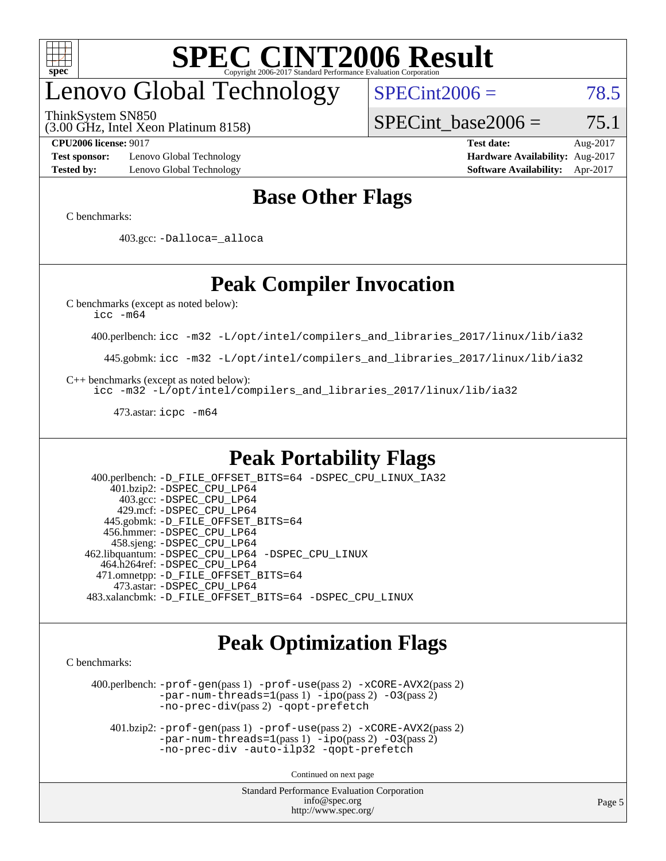

# enovo Global Technology

ThinkSystem SN850

 $SPECint2006 = 78.5$  $SPECint2006 = 78.5$ 

(3.00 GHz, Intel Xeon Platinum 8158)

SPECint base2006 =  $75.1$ 

**[Test sponsor:](http://www.spec.org/auto/cpu2006/Docs/result-fields.html#Testsponsor)** Lenovo Global Technology **[Hardware Availability:](http://www.spec.org/auto/cpu2006/Docs/result-fields.html#HardwareAvailability)** Aug-2017 **[Tested by:](http://www.spec.org/auto/cpu2006/Docs/result-fields.html#Testedby)** Lenovo Global Technology **[Software Availability:](http://www.spec.org/auto/cpu2006/Docs/result-fields.html#SoftwareAvailability)** Apr-2017

**[CPU2006 license:](http://www.spec.org/auto/cpu2006/Docs/result-fields.html#CPU2006license)** 9017 **[Test date:](http://www.spec.org/auto/cpu2006/Docs/result-fields.html#Testdate)** Aug-2017

#### **[Base Other Flags](http://www.spec.org/auto/cpu2006/Docs/result-fields.html#BaseOtherFlags)**

[C benchmarks](http://www.spec.org/auto/cpu2006/Docs/result-fields.html#Cbenchmarks):

403.gcc: [-Dalloca=\\_alloca](http://www.spec.org/cpu2006/results/res2017q4/cpu2006-20170918-50039.flags.html#b403.gcc_baseEXTRA_CFLAGS_Dalloca_be3056838c12de2578596ca5467af7f3)

## **[Peak Compiler Invocation](http://www.spec.org/auto/cpu2006/Docs/result-fields.html#PeakCompilerInvocation)**

[C benchmarks \(except as noted below\)](http://www.spec.org/auto/cpu2006/Docs/result-fields.html#Cbenchmarksexceptasnotedbelow):

[icc -m64](http://www.spec.org/cpu2006/results/res2017q4/cpu2006-20170918-50039.flags.html#user_CCpeak_intel_icc_64bit_bda6cc9af1fdbb0edc3795bac97ada53)

400.perlbench: [icc -m32 -L/opt/intel/compilers\\_and\\_libraries\\_2017/linux/lib/ia32](http://www.spec.org/cpu2006/results/res2017q4/cpu2006-20170918-50039.flags.html#user_peakCCLD400_perlbench_intel_icc_c29f3ff5a7ed067b11e4ec10a03f03ae)

445.gobmk: [icc -m32 -L/opt/intel/compilers\\_and\\_libraries\\_2017/linux/lib/ia32](http://www.spec.org/cpu2006/results/res2017q4/cpu2006-20170918-50039.flags.html#user_peakCCLD445_gobmk_intel_icc_c29f3ff5a7ed067b11e4ec10a03f03ae)

[C++ benchmarks \(except as noted below\):](http://www.spec.org/auto/cpu2006/Docs/result-fields.html#CXXbenchmarksexceptasnotedbelow)

[icc -m32 -L/opt/intel/compilers\\_and\\_libraries\\_2017/linux/lib/ia32](http://www.spec.org/cpu2006/results/res2017q4/cpu2006-20170918-50039.flags.html#user_CXXpeak_intel_icc_c29f3ff5a7ed067b11e4ec10a03f03ae)

473.astar: [icpc -m64](http://www.spec.org/cpu2006/results/res2017q4/cpu2006-20170918-50039.flags.html#user_peakCXXLD473_astar_intel_icpc_64bit_fc66a5337ce925472a5c54ad6a0de310)

#### **[Peak Portability Flags](http://www.spec.org/auto/cpu2006/Docs/result-fields.html#PeakPortabilityFlags)**

 400.perlbench: [-D\\_FILE\\_OFFSET\\_BITS=64](http://www.spec.org/cpu2006/results/res2017q4/cpu2006-20170918-50039.flags.html#user_peakPORTABILITY400_perlbench_file_offset_bits_64_438cf9856305ebd76870a2c6dc2689ab) [-DSPEC\\_CPU\\_LINUX\\_IA32](http://www.spec.org/cpu2006/results/res2017q4/cpu2006-20170918-50039.flags.html#b400.perlbench_peakCPORTABILITY_DSPEC_CPU_LINUX_IA32) 401.bzip2: [-DSPEC\\_CPU\\_LP64](http://www.spec.org/cpu2006/results/res2017q4/cpu2006-20170918-50039.flags.html#suite_peakPORTABILITY401_bzip2_DSPEC_CPU_LP64) 403.gcc: [-DSPEC\\_CPU\\_LP64](http://www.spec.org/cpu2006/results/res2017q4/cpu2006-20170918-50039.flags.html#suite_peakPORTABILITY403_gcc_DSPEC_CPU_LP64) 429.mcf: [-DSPEC\\_CPU\\_LP64](http://www.spec.org/cpu2006/results/res2017q4/cpu2006-20170918-50039.flags.html#suite_peakPORTABILITY429_mcf_DSPEC_CPU_LP64) 445.gobmk: [-D\\_FILE\\_OFFSET\\_BITS=64](http://www.spec.org/cpu2006/results/res2017q4/cpu2006-20170918-50039.flags.html#user_peakPORTABILITY445_gobmk_file_offset_bits_64_438cf9856305ebd76870a2c6dc2689ab) 456.hmmer: [-DSPEC\\_CPU\\_LP64](http://www.spec.org/cpu2006/results/res2017q4/cpu2006-20170918-50039.flags.html#suite_peakPORTABILITY456_hmmer_DSPEC_CPU_LP64) 458.sjeng: [-DSPEC\\_CPU\\_LP64](http://www.spec.org/cpu2006/results/res2017q4/cpu2006-20170918-50039.flags.html#suite_peakPORTABILITY458_sjeng_DSPEC_CPU_LP64) 462.libquantum: [-DSPEC\\_CPU\\_LP64](http://www.spec.org/cpu2006/results/res2017q4/cpu2006-20170918-50039.flags.html#suite_peakPORTABILITY462_libquantum_DSPEC_CPU_LP64) [-DSPEC\\_CPU\\_LINUX](http://www.spec.org/cpu2006/results/res2017q4/cpu2006-20170918-50039.flags.html#b462.libquantum_peakCPORTABILITY_DSPEC_CPU_LINUX) 464.h264ref: [-DSPEC\\_CPU\\_LP64](http://www.spec.org/cpu2006/results/res2017q4/cpu2006-20170918-50039.flags.html#suite_peakPORTABILITY464_h264ref_DSPEC_CPU_LP64) 471.omnetpp: [-D\\_FILE\\_OFFSET\\_BITS=64](http://www.spec.org/cpu2006/results/res2017q4/cpu2006-20170918-50039.flags.html#user_peakPORTABILITY471_omnetpp_file_offset_bits_64_438cf9856305ebd76870a2c6dc2689ab) 473.astar: [-DSPEC\\_CPU\\_LP64](http://www.spec.org/cpu2006/results/res2017q4/cpu2006-20170918-50039.flags.html#suite_peakPORTABILITY473_astar_DSPEC_CPU_LP64) 483.xalancbmk: [-D\\_FILE\\_OFFSET\\_BITS=64](http://www.spec.org/cpu2006/results/res2017q4/cpu2006-20170918-50039.flags.html#user_peakPORTABILITY483_xalancbmk_file_offset_bits_64_438cf9856305ebd76870a2c6dc2689ab) [-DSPEC\\_CPU\\_LINUX](http://www.spec.org/cpu2006/results/res2017q4/cpu2006-20170918-50039.flags.html#b483.xalancbmk_peakCXXPORTABILITY_DSPEC_CPU_LINUX)

#### **[Peak Optimization Flags](http://www.spec.org/auto/cpu2006/Docs/result-fields.html#PeakOptimizationFlags)**

[C benchmarks](http://www.spec.org/auto/cpu2006/Docs/result-fields.html#Cbenchmarks):

 400.perlbench: [-prof-gen](http://www.spec.org/cpu2006/results/res2017q4/cpu2006-20170918-50039.flags.html#user_peakPASS1_CFLAGSPASS1_LDCFLAGS400_perlbench_prof_gen_e43856698f6ca7b7e442dfd80e94a8fc)(pass 1) [-prof-use](http://www.spec.org/cpu2006/results/res2017q4/cpu2006-20170918-50039.flags.html#user_peakPASS2_CFLAGSPASS2_LDCFLAGS400_perlbench_prof_use_bccf7792157ff70d64e32fe3e1250b55)(pass 2) [-xCORE-AVX2](http://www.spec.org/cpu2006/results/res2017q4/cpu2006-20170918-50039.flags.html#user_peakPASS2_CFLAGSPASS2_LDCFLAGS400_perlbench_f-xCORE-AVX2)(pass 2) [-par-num-threads=1](http://www.spec.org/cpu2006/results/res2017q4/cpu2006-20170918-50039.flags.html#user_peakPASS1_CFLAGSPASS1_LDCFLAGS400_perlbench_par_num_threads_786a6ff141b4e9e90432e998842df6c2)(pass 1) [-ipo](http://www.spec.org/cpu2006/results/res2017q4/cpu2006-20170918-50039.flags.html#user_peakPASS2_CFLAGSPASS2_LDCFLAGS400_perlbench_f-ipo)(pass 2) [-O3](http://www.spec.org/cpu2006/results/res2017q4/cpu2006-20170918-50039.flags.html#user_peakPASS2_CFLAGSPASS2_LDCFLAGS400_perlbench_f-O3)(pass 2) [-no-prec-div](http://www.spec.org/cpu2006/results/res2017q4/cpu2006-20170918-50039.flags.html#user_peakPASS2_CFLAGSPASS2_LDCFLAGS400_perlbench_f-no-prec-div)(pass 2) [-qopt-prefetch](http://www.spec.org/cpu2006/results/res2017q4/cpu2006-20170918-50039.flags.html#user_peakCOPTIMIZE400_perlbench_f-qopt-prefetch)

 401.bzip2: [-prof-gen](http://www.spec.org/cpu2006/results/res2017q4/cpu2006-20170918-50039.flags.html#user_peakPASS1_CFLAGSPASS1_LDCFLAGS401_bzip2_prof_gen_e43856698f6ca7b7e442dfd80e94a8fc)(pass 1) [-prof-use](http://www.spec.org/cpu2006/results/res2017q4/cpu2006-20170918-50039.flags.html#user_peakPASS2_CFLAGSPASS2_LDCFLAGS401_bzip2_prof_use_bccf7792157ff70d64e32fe3e1250b55)(pass 2) [-xCORE-AVX2](http://www.spec.org/cpu2006/results/res2017q4/cpu2006-20170918-50039.flags.html#user_peakPASS2_CFLAGSPASS2_LDCFLAGS401_bzip2_f-xCORE-AVX2)(pass 2)  $-par-num-threads=1(pass 1) -ipo(pass 2) -O3(pass 2)$  $-par-num-threads=1(pass 1) -ipo(pass 2) -O3(pass 2)$  $-par-num-threads=1(pass 1) -ipo(pass 2) -O3(pass 2)$  $-par-num-threads=1(pass 1) -ipo(pass 2) -O3(pass 2)$  $-par-num-threads=1(pass 1) -ipo(pass 2) -O3(pass 2)$  $-par-num-threads=1(pass 1) -ipo(pass 2) -O3(pass 2)$ [-no-prec-div](http://www.spec.org/cpu2006/results/res2017q4/cpu2006-20170918-50039.flags.html#user_peakCOPTIMIZEPASS2_CFLAGSPASS2_LDCFLAGS401_bzip2_f-no-prec-div) [-auto-ilp32](http://www.spec.org/cpu2006/results/res2017q4/cpu2006-20170918-50039.flags.html#user_peakCOPTIMIZE401_bzip2_f-auto-ilp32) [-qopt-prefetch](http://www.spec.org/cpu2006/results/res2017q4/cpu2006-20170918-50039.flags.html#user_peakCOPTIMIZE401_bzip2_f-qopt-prefetch)

Continued on next page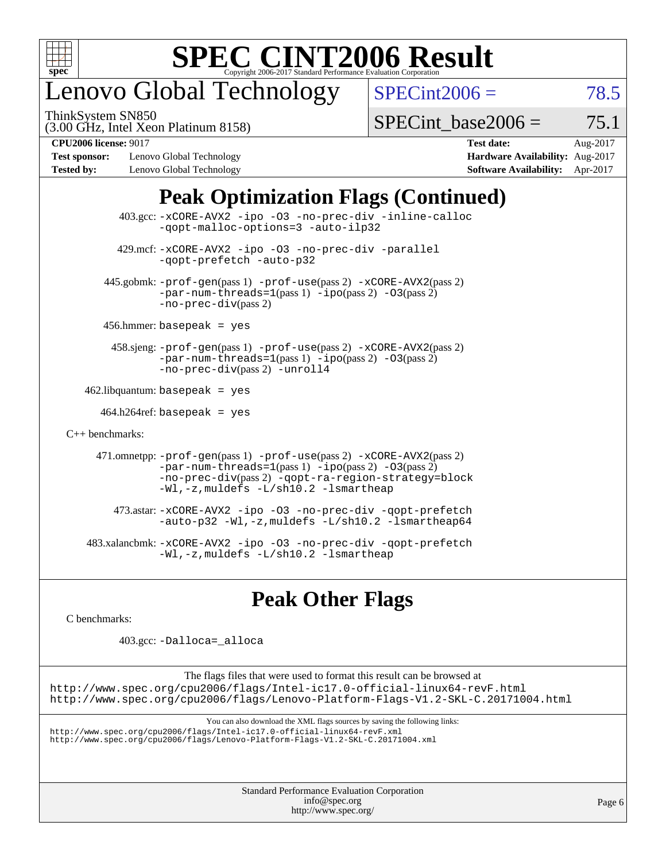

## enovo Global Technology

ThinkSystem SN850

 $SPECint2006 = 78.5$  $SPECint2006 = 78.5$ 

(3.00 GHz, Intel Xeon Platinum 8158)

SPECint base2006 =  $75.1$ 

**[Test sponsor:](http://www.spec.org/auto/cpu2006/Docs/result-fields.html#Testsponsor)** Lenovo Global Technology **[Hardware Availability:](http://www.spec.org/auto/cpu2006/Docs/result-fields.html#HardwareAvailability)** Aug-2017 **[Tested by:](http://www.spec.org/auto/cpu2006/Docs/result-fields.html#Testedby)** Lenovo Global Technology **[Software Availability:](http://www.spec.org/auto/cpu2006/Docs/result-fields.html#SoftwareAvailability)** Apr-2017

**[CPU2006 license:](http://www.spec.org/auto/cpu2006/Docs/result-fields.html#CPU2006license)** 9017 **[Test date:](http://www.spec.org/auto/cpu2006/Docs/result-fields.html#Testdate)** Aug-2017

## **[Peak Optimization Flags \(Continued\)](http://www.spec.org/auto/cpu2006/Docs/result-fields.html#PeakOptimizationFlags)**

| $403.\text{sec}: -x \text{CORE-AVX2}$ -ipo -03 -no-prec-div -inline-calloc<br>-gopt-malloc-options=3 -auto-ilp32                                                                                                              |  |
|-------------------------------------------------------------------------------------------------------------------------------------------------------------------------------------------------------------------------------|--|
| 429.mcf: -xCORE-AVX2 -ipo -03 -no-prec-div -parallel<br>-gopt-prefetch -auto-p32                                                                                                                                              |  |
| 445.gobmk: -prof-gen(pass 1) -prof-use(pass 2) -xCORE-AVX2(pass 2)<br>$-par-num-threads=1(pass 1) -ipo(pass 2) -03(pass 2)$<br>$-no-prec-div(pass 2)$                                                                         |  |
| $456.$ hmmer: basepeak = yes                                                                                                                                                                                                  |  |
| 458.sjeng: -prof-gen(pass 1) -prof-use(pass 2) -xCORE-AVX2(pass 2)<br>$-par-num-threads=1(pass 1) -ipo(pass 2) -03(pass 2)$<br>-no-prec-div(pass 2) -unroll4                                                                  |  |
| $462$ .libquantum: basepeak = yes                                                                                                                                                                                             |  |
| $464.h264$ ref: basepeak = yes                                                                                                                                                                                                |  |
| $C_{++}$ benchmarks:                                                                                                                                                                                                          |  |
| 471.omnetpp: -prof-gen(pass 1) -prof-use(pass 2) -xCORE-AVX2(pass 2)<br>$-par-num-threads=1(pass 1) -ipo(pass 2) -03(pass 2)$<br>-no-prec-div(pass 2) -qopt-ra-region-strategy=block<br>-Wl,-z, muldefs -L/sh10.2 -lsmartheap |  |
| 473.astar: -xCORE-AVX2 -ipo -03 -no-prec-div -qopt-prefetch<br>-auto-p32 -Wl,-z, muldefs -L/sh10.2 -lsmartheap64                                                                                                              |  |
| 483.xalancbmk:-xCORE-AVX2 -ipo -03 -no-prec-div -qopt-prefetch<br>-Wl,-z, muldefs -L/sh10.2 -lsmartheap                                                                                                                       |  |

## **[Peak Other Flags](http://www.spec.org/auto/cpu2006/Docs/result-fields.html#PeakOtherFlags)**

[C benchmarks](http://www.spec.org/auto/cpu2006/Docs/result-fields.html#Cbenchmarks):

403.gcc: [-Dalloca=\\_alloca](http://www.spec.org/cpu2006/results/res2017q4/cpu2006-20170918-50039.flags.html#b403.gcc_peakEXTRA_CFLAGS_Dalloca_be3056838c12de2578596ca5467af7f3)

The flags files that were used to format this result can be browsed at <http://www.spec.org/cpu2006/flags/Intel-ic17.0-official-linux64-revF.html> <http://www.spec.org/cpu2006/flags/Lenovo-Platform-Flags-V1.2-SKL-C.20171004.html>

You can also download the XML flags sources by saving the following links:

<http://www.spec.org/cpu2006/flags/Intel-ic17.0-official-linux64-revF.xml> <http://www.spec.org/cpu2006/flags/Lenovo-Platform-Flags-V1.2-SKL-C.20171004.xml>